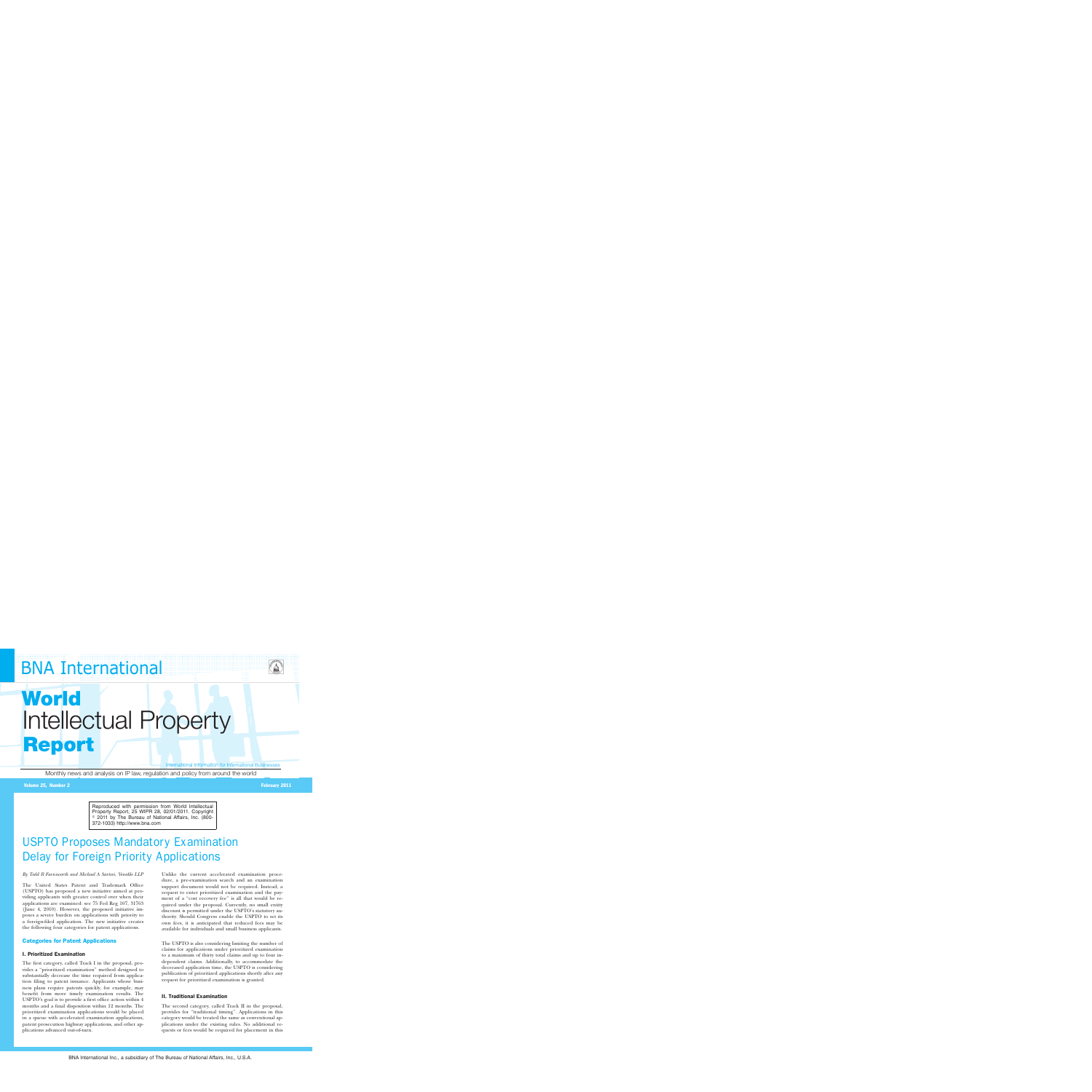## **BNA International**



# **World** Intellectual Property **Report**

International Information for International Businesses

Monthly news and analysis on IP law, regulation and policy from around the world

#### Volume 25, Number 2 February 2011

Reproduced with permission from World Intellectual Property Report, 25 WIPR 28, 02/01/2011. Copyright © 2011 by The Bureau of National Affairs, Inc. (800-372-1033) http://www.bna.com

### USPTO Proposes Mandatory Examination Delay for Foreign Priority Applications

#### *By Todd R Farnsworth and Michael A Sartori, Venable LLP*

The United States Patent and Trademark Office (USPTO) has proposed a new initiative aimed at providing applicants with greater control over when their applications are examined: see 75 Fed Reg 107, 31763 (June 4, 2010). However, the proposed initiative imposes a severe burden on applications with priority to a foreign-filed application. The new initiative creates the following four categories for patent applications.

#### Categories for Patent Applications

#### I. Prioritized Examination

The first category, called Track I in the proposal, provides a ''prioritized examination'' method designed to substantially decrease the time required from application filing to patent issuance. Applicants whose business plans require patents quickly, for example, may benefit from more timely examination results. The USPTO's goal is to provide a first office action within 4 months and a final disposition within 12 months. The prioritized examination applications would be placed in a queue with accelerated examination applications, patent prosecution highway applications, and other applications advanced out-of-turn.

Unlike the current accelerated examination procedure, a pre-examination search and an examination support document would not be required. Instead, a request to enter prioritized examination and the payment of a "cost recovery fee" is all that would be required under the proposal. Currently, no small entity discount is permitted under the USPTO's statutory authority. Should Congress enable the USPTO to set its own fees, it is anticipated that reduced fees may be available for individuals and small business applicants.

The USPTO is also considering limiting the number of claims for applications under prioritized examination to a maximum of thirty total claims and up to four independent claims. Additionally, to accommodate the decreased application time, the USPTO is considering publication of prioritized applications shortly after any request for prioritized examination is granted.

#### II. Traditional Examination

The second category, called Track II in the proposal, provides for "traditional timing". Applications in this category would be treated the same as conventional applications under the existing rules. No additional requests or fees would be required for placement in this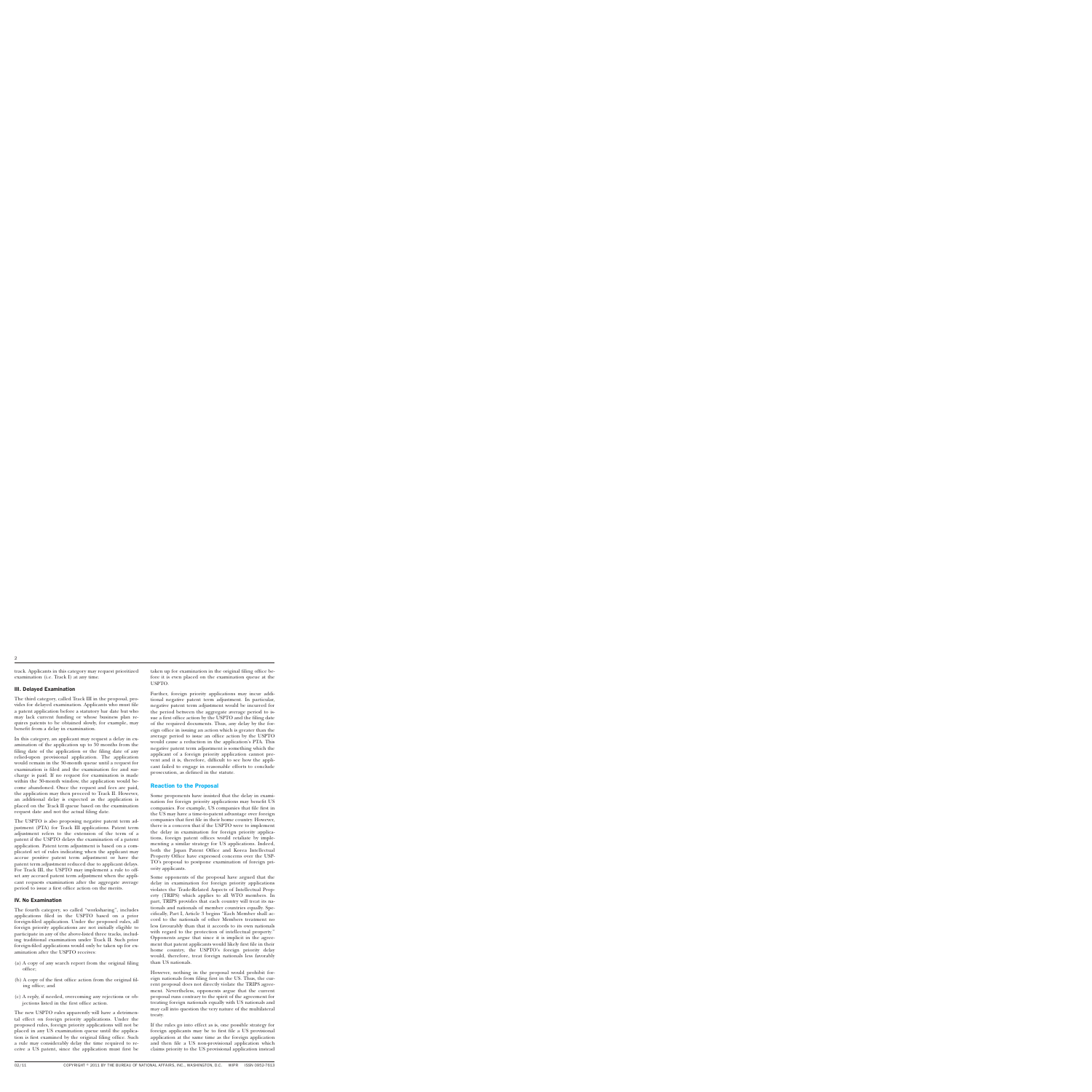track. Applicants in this category may request prioritized examination (i.e. Track I) at any time.

#### III. Delayed Examination

The third category, called Track III in the proposal, provides for delayed examination. Applicants who must file a patent application before a statutory bar date but who may lack current funding or whose business plan requires patents to be obtained slowly, for example, may benefit from a delay in examination.

In this category, an applicant may request a delay in examination of the application up to 30 months from the filing date of the application or the filing date of any relied-upon provisional application. The application would remain in the 30-month queue until a request for examination is filed and the examination fee and surcharge is paid. If no request for examination is made within the 30-month window, the application would become abandoned. Once the request and fees are paid, the application may then proceed to Track II. However, an additional delay is expected as the application is placed on the Track II queue based on the examination request date and not the actual filing date.

The USPTO is also proposing negative patent term adjustment (PTA) for Track III applications. Patent term adjustment refers to the extension of the term of a patent if the USPTO delays the examination of a patent application. Patent term adjustment is based on a complicated set of rules indicating when the applicant may accrue positive patent term adjustment or have the patent term adjustment reduced due to applicant delays. For Track III, the USPTO may implement a rule to offset any accrued patent term adjustment when the applicant requests examination after the aggregate average period to issue a first office action on the merits.

#### IV. No Examination

The fourth category, so called ''worksharing'', includes applications filed in the USPTO based on a prior foreign-filed application. Under the proposed rules, all foreign priority applications are not initially eligible to participate in any of the above-listed three tracks, including traditional examination under Track II. Such prior foreign-filed applications would only be taken up for examination after the USPTO receives:

- (a) A copy of any search report from the original filing office;
- (b) A copy of the first office action from the original filing office; and
- (c) A reply, if needed, overcoming any rejections or objections listed in the first office action.

The new USPTO rules apparently will have a detrimental effect on foreign priority applications. Under the proposed rules, foreign priority applications will not be placed in any US examination queue until the application is first examined by the original filing office. Such a rule may considerably delay the time required to receive a US patent, since the application must first be

taken up for examination in the original filing office before it is even placed on the examination queue at the USPTO.

Further, foreign priority applications may incur additional negative patent term adjustment. In particular, negative patent term adjustment would be incurred for the period between the aggregate average period to issue a first office action by the USPTO and the filing date of the required documents. Thus, any delay by the foreign office in issuing an action which is greater than the average period to issue an office action by the USPTO would cause a reduction in the application's PTA. This negative patent term adjustment is something which the applicant of a foreign priority application cannot prevent and it is, therefore, difficult to see how the applicant failed to engage in reasonable efforts to conclude prosecution, as defined in the statute.

#### Reaction to the Proposal

Some proponents have insisted that the delay in examination for foreign priority applications may benefit US companies. For example, US companies that file first in the US may have a time-to-patent advantage over foreign companies that first file in their home country. However, there is a concern that if the USPTO were to implement the delay in examination for foreign priority applications, foreign patent offices would retaliate by implementing a similar strategy for US applications. Indeed, both the Japan Patent Office and Korea Intellectual Property Office have expressed concerns over the USP-TO's proposal to postpone examination of foreign priority applicants.

Some opponents of the proposal have argued that the delay in examination for foreign priority applications violates the Trade-Related Aspects of Intellectual Property (TRIPS) which applies to all WTO members. In part, TRIPS provides that each country will treat its nationals and nationals of member countries equally. Specifically, Part I, Article 3 begins ''Each Member shall accord to the nationals of other Members treatment no less favourably than that it accords to its own nationals with regard to the protection of intellectual property.'' Opponents argue that since it is implicit in the agreement that patent applicants would likely first file in their home country, the USPTO's foreign priority delay would, therefore, treat foreign nationals less favorably than US nationals.

However, nothing in the proposal would prohibit foreign nationals from filing first in the US. Thus, the current proposal does not directly violate the TRIPS agreement. Nevertheless, opponents argue that the current proposal runs contrary to the spirit of the agreement for treating foreign nationals equally with US nationals and may call into question the very nature of the multilateral treaty.

If the rules go into effect as is, one possible strategy for foreign applicants may be to first file a US provisional application at the same time as the foreign application and then file a US non-provisional application which claims priority to the US provisional application instead